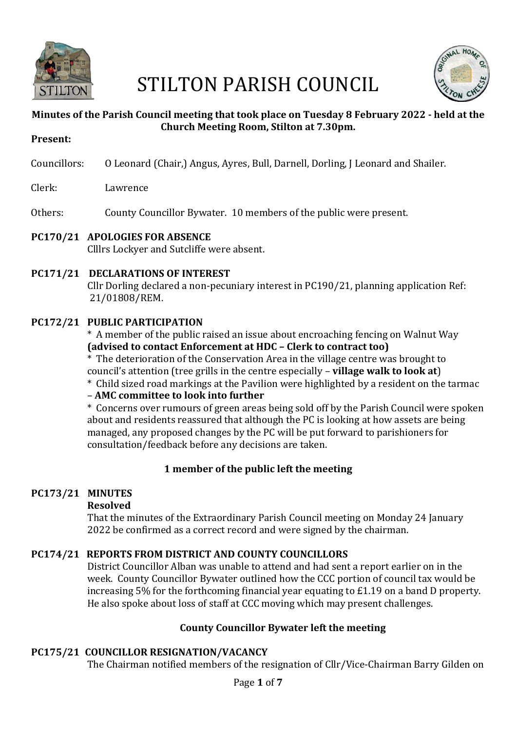

# STILTON PARISH COUNCIL



# **Minutes of the Parish Council meeting that took place on Tuesday 8 February 2022 - held at the Church Meeting Room, Stilton at 7.30pm.**

**Present:**

Councillors: O Leonard (Chair.) Angus, Ayres, Bull, Darnell, Dorling, J Leonard and Shailer.

Clerk: Lawrence

Others: County Councillor Bywater. 10 members of the public were present.

# **PC170/21 APOLOGIES FOR ABSENCE**

Clllrs Lockyer and Sutcliffe were absent.

**PC171/21 DECLARATIONS OF INTEREST** Cllr Dorling declared a non-pecuniary interest in PC190/21, planning application Ref: 21/01808/REM.

#### **PC172/21 PUBLIC PARTICIPATION**

\* A member of the public raised an issue about encroaching fencing on Walnut Way **(advised to contact Enforcement at HDC – Clerk to contract too)** 

\* The deterioration of the Conservation Area in the village centre was brought to council's attention (tree grills in the centre especially – **village walk to look at**)

\* Child sized road markings at the Pavilion were highlighted by a resident on the tarmac

#### – **AMC committee to look into further**

\* Concerns over rumours of green areas being sold off by the Parish Council were spoken about and residents reassured that although the PC is looking at how assets are being managed, any proposed changes by the PC will be put forward to parishioners for consultation/feedback before any decisions are taken.

## **1** member of the public left the meeting

# **PC173/21 MINUTES**

## **Resolved**

That the minutes of the Extraordinary Parish Council meeting on Monday 24 January 2022 be confirmed as a correct record and were signed by the chairman.

## **PC174/21 REPORTS FROM DISTRICT AND COUNTY COUNCILLORS**

District Councillor Alban was unable to attend and had sent a report earlier on in the week. County Councillor Bywater outlined how the CCC portion of council tax would be increasing  $5\%$  for the forthcoming financial year equating to  $£1.19$  on a band D property. He also spoke about loss of staff at CCC moving which may present challenges.

## **County Councillor Bywater left the meeting**

## **PC175/21 COUNCILLOR RESIGNATION/VACANCY**

The Chairman notified members of the resignation of Cllr/Vice-Chairman Barry Gilden on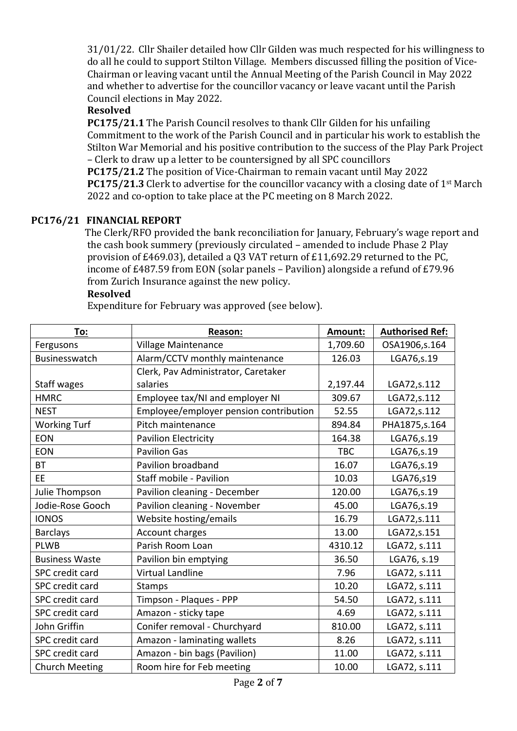31/01/22. Cllr Shailer detailed how Cllr Gilden was much respected for his willingness to do all he could to support Stilton Village. Members discussed filling the position of Vice-Chairman or leaving vacant until the Annual Meeting of the Parish Council in May 2022 and whether to advertise for the councillor vacancy or leave vacant until the Parish Council elections in May 2022.

#### **Resolved**

**PC175/21.1** The Parish Council resolves to thank Cllr Gilden for his unfailing Commitment to the work of the Parish Council and in particular his work to establish the Stilton War Memorial and his positive contribution to the success of the Play Park Project – Clerk to draw up a letter to be countersigned by all SPC councillors **PC175/21.2** The position of Vice-Chairman to remain vacant until May 2022 **PC175/21.3** Clerk to advertise for the councillor vacancy with a closing date of 1<sup>st</sup> March 2022 and co-option to take place at the PC meeting on 8 March 2022.

#### **PC176/21 FINANCIAL REPORT**

The Clerk/RFO provided the bank reconciliation for January, February's wage report and the cash book summery (previously circulated – amended to include Phase 2 Play provision of £469.03), detailed a  $03$  VAT return of £11,692.29 returned to the PC, income of  $E487.59$  from EON (solar panels – Pavilion) alongside a refund of  $E79.96$ from Zurich Insurance against the new policy.

#### **Resolved**

Expenditure for February was approved (see below).

| To:                   | Reason:                                | Amount:    | <b>Authorised Ref:</b> |
|-----------------------|----------------------------------------|------------|------------------------|
| Fergusons             | Village Maintenance                    | 1,709.60   | OSA1906,s.164          |
| Businesswatch         | Alarm/CCTV monthly maintenance         | 126.03     | LGA76,s.19             |
|                       | Clerk, Pav Administrator, Caretaker    |            |                        |
| <b>Staff wages</b>    | salaries                               | 2,197.44   | LGA72,s.112            |
| <b>HMRC</b>           | Employee tax/NI and employer NI        | 309.67     | LGA72,s.112            |
| <b>NEST</b>           | Employee/employer pension contribution | 52.55      | LGA72,s.112            |
| <b>Working Turf</b>   | Pitch maintenance                      | 894.84     | PHA1875, s. 164        |
| <b>EON</b>            | <b>Pavilion Electricity</b>            | 164.38     | LGA76,s.19             |
| <b>EON</b>            | <b>Pavilion Gas</b>                    | <b>TBC</b> | LGA76, s.19            |
| <b>BT</b>             | Pavilion broadband                     | 16.07      | LGA76, s.19            |
| EE.                   | Staff mobile - Pavilion                | 10.03      | LGA76,s19              |
| Julie Thompson        | Pavilion cleaning - December           | 120.00     | LGA76, s.19            |
| Jodie-Rose Gooch      | Pavilion cleaning - November           | 45.00      | LGA76, s.19            |
| <b>IONOS</b>          | Website hosting/emails                 | 16.79      | LGA72,s.111            |
| <b>Barclays</b>       | Account charges                        | 13.00      | LGA72,s.151            |
| <b>PLWB</b>           | Parish Room Loan                       | 4310.12    | LGA72, s.111           |
| <b>Business Waste</b> | Pavilion bin emptying                  | 36.50      | LGA76, s.19            |
| SPC credit card       | <b>Virtual Landline</b>                | 7.96       | LGA72, s.111           |
| SPC credit card       | <b>Stamps</b>                          | 10.20      | LGA72, s.111           |
| SPC credit card       | Timpson - Plaques - PPP                | 54.50      | LGA72, s.111           |
| SPC credit card       | Amazon - sticky tape                   | 4.69       | LGA72, s.111           |
| John Griffin          | Conifer removal - Churchyard           | 810.00     | LGA72, s.111           |
| SPC credit card       | Amazon - laminating wallets            | 8.26       | LGA72, s.111           |
| SPC credit card       | Amazon - bin bags (Pavilion)           | 11.00      | LGA72, s.111           |
| <b>Church Meeting</b> | Room hire for Feb meeting              | 10.00      | LGA72, s.111           |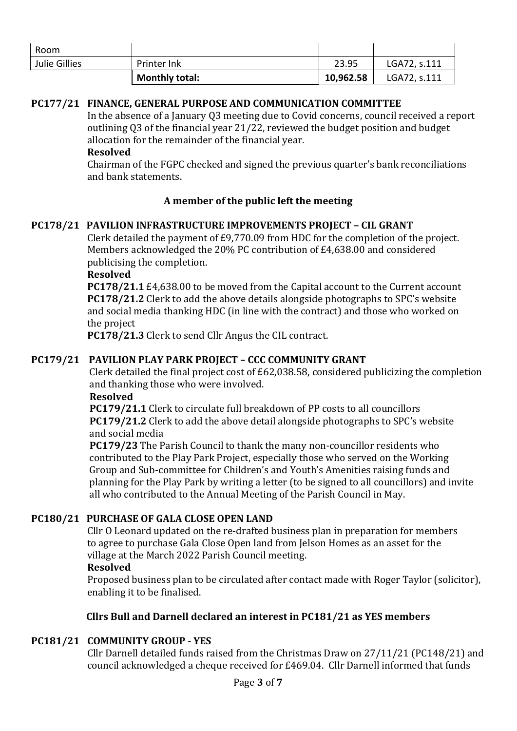| Room          |                       |           |              |
|---------------|-----------------------|-----------|--------------|
| Julie Gillies | Printer Ink           | 23.95     | LGA72, s.111 |
|               | <b>Monthly total:</b> | 10,962.58 | LGA72, s.111 |

## PC177/21 FINANCE, GENERAL PURPOSE AND COMMUNICATION COMMITTEE

In the absence of a January Q3 meeting due to Covid concerns, council received a report outlining Q3 of the financial year 21/22, reviewed the budget position and budget allocation for the remainder of the financial year.

#### **Resolved**

Chairman of the FGPC checked and signed the previous quarter's bank reconciliations and bank statements.

## **A member of the public left the meeting**

#### **PC178/21 PAVILION INFRASTRUCTURE IMPROVEMENTS PROJECT – CIL GRANT**

Clerk detailed the payment of  $E9,770.09$  from HDC for the completion of the project. Members acknowledged the  $20\%$  PC contribution of  $£4,638.00$  and considered publicising the completion.

 **Resolved**

**PC178/21.1** £4,638.00 to be moved from the Capital account to the Current account **PC178/21.2** Clerk to add the above details alongside photographs to SPC's website and social media thanking HDC (in line with the contract) and those who worked on the project

**PC178/21.3** Clerk to send Cllr Angus the CIL contract.

#### **PC179/21 PAVILION PLAY PARK PROJECT – CCC COMMUNITY GRANT**

Clerk detailed the final project cost of  $E62,038.58$ , considered publicizing the completion and thanking those who were involved.

 **Resolved**

**PC179/21.1** Clerk to circulate full breakdown of PP costs to all councillors **PC179/21.2** Clerk to add the above detail alongside photographs to SPC's website and social media

**PC179/23** The Parish Council to thank the many non-councillor residents who contributed to the Play Park Project, especially those who served on the Working Group and Sub-committee for Children's and Youth's Amenities raising funds and planning for the Play Park by writing a letter (to be signed to all councillors) and invite all who contributed to the Annual Meeting of the Parish Council in May.

## **PC180/21 PURCHASE OF GALA CLOSE OPEN LAND**

Cllr O Leonard updated on the re-drafted business plan in preparation for members to agree to purchase Gala Close Open land from Jelson Homes as an asset for the village at the March 2022 Parish Council meeting.

#### **Resolved**

Proposed business plan to be circulated after contact made with Roger Taylor (solicitor), enabling it to be finalised.

#### **Cllrs Bull and Darnell declared an interest in PC181/21 as YES members**

#### **PC181/21 COMMUNITY GROUP - YES**

Cllr Darnell detailed funds raised from the Christmas Draw on 27/11/21 (PC148/21) and council acknowledged a cheque received for £469.04. Cllr Darnell informed that funds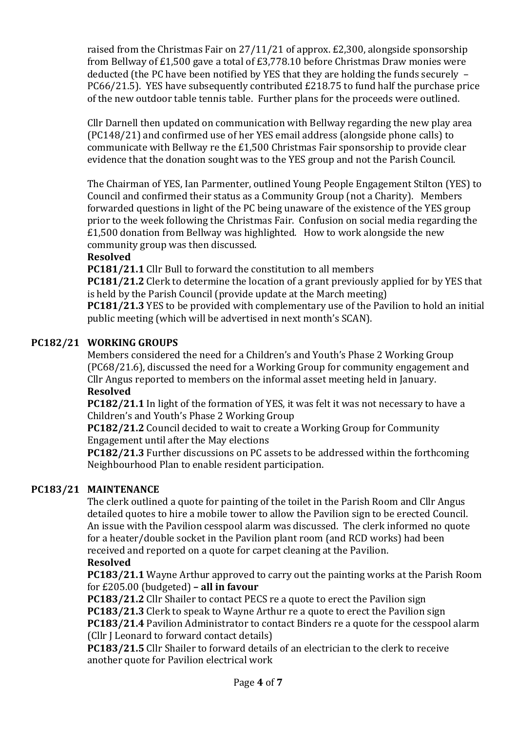raised from the Christmas Fair on  $27/11/21$  of approx. £2,300, alongside sponsorship from Bellway of  $£1,500$  gave a total of  $£3,778.10$  before Christmas Draw monies were deducted (the PC have been notified by YES that they are holding the funds securely  $-$ PC66/21.5). YES have subsequently contributed  $£218.75$  to fund half the purchase price of the new outdoor table tennis table. Further plans for the proceeds were outlined.

Cllr Darnell then updated on communication with Bellway regarding the new play area (PC148/21) and confirmed use of her YES email address (alongside phone calls) to communicate with Bellway re the  $£1,500$  Christmas Fair sponsorship to provide clear evidence that the donation sought was to the YES group and not the Parish Council.

The Chairman of YES, Ian Parmenter, outlined Young People Engagement Stilton (YES) to Council and confirmed their status as a Community Group (not a Charity). Members forwarded questions in light of the PC being unaware of the existence of the YES group prior to the week following the Christmas Fair. Confusion on social media regarding the  $£1,500$  donation from Bellway was highlighted. How to work alongside the new community group was then discussed.

#### **Resolved**

**PC181/21.1** Cllr Bull to forward the constitution to all members

**PC181/21.2** Clerk to determine the location of a grant previously applied for by YES that is held by the Parish Council (provide update at the March meeting)

**PC181/21.3** YES to be provided with complementary use of the Pavilion to hold an initial public meeting (which will be advertised in next month's SCAN).

## **PC182/21 WORKING GROUPS**

Members considered the need for a Children's and Youth's Phase 2 Working Group (PC68/21.6), discussed the need for a Working Group for community engagement and Cllr Angus reported to members on the informal asset meeting held in January. **Resolved**

**PC182/21.1** In light of the formation of YES, it was felt it was not necessary to have a Children's and Youth's Phase 2 Working Group

**PC182/21.2** Council decided to wait to create a Working Group for Community Engagement until after the May elections

**PC182/21.3** Further discussions on PC assets to be addressed within the forthcoming Neighbourhood Plan to enable resident participation.

#### PC183/21 MAINTENANCE

The clerk outlined a quote for painting of the toilet in the Parish Room and Cllr Angus detailed quotes to hire a mobile tower to allow the Pavilion sign to be erected Council. An issue with the Pavilion cesspool alarm was discussed. The clerk informed no quote for a heater/double socket in the Pavilion plant room (and RCD works) had been received and reported on a quote for carpet cleaning at the Pavilion. **Resolved**

#### **PC183/21.1** Wayne Arthur approved to carry out the painting works at the Parish Room for £205.00 (budgeted) **– all in favour**

**PC183/21.2** Cllr Shailer to contact PECS re a quote to erect the Pavilion sign **PC183/21.3** Clerk to speak to Wayne Arthur re a quote to erect the Pavilion sign **PC183/21.4** Pavilion Administrator to contact Binders re a quote for the cesspool alarm (Cllr J Leonard to forward contact details)

**PC183/21.5** Cllr Shailer to forward details of an electrician to the clerk to receive another quote for Pavilion electrical work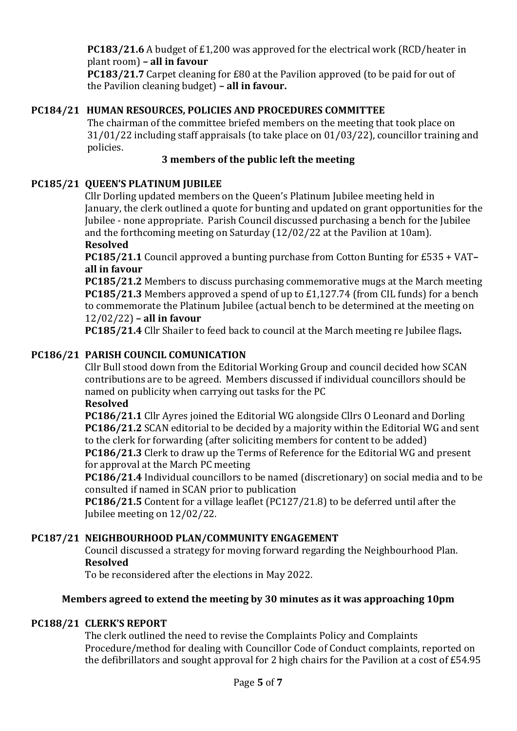**PC183/21.6** A budget of £1,200 was approved for the electrical work (RCD/heater in plant room) **– all in favour**

**PC183/21.7** Carpet cleaning for £80 at the Pavilion approved (to be paid for out of the Pavilion cleaning budget) **– all in favour.** 

## **PC184/21 HUMAN RESOURCES, POLICIES AND PROCEDURES COMMITTEE**

The chairman of the committee briefed members on the meeting that took place on  $31/01/22$  including staff appraisals (to take place on  $01/03/22$ ), councillor training and policies. 

## **3** members of the public left the meeting

## **PC185/21 QUEEN'S PLATINUM JUBILEE**

Cllr Dorling updated members on the Queen's Platinum Jubilee meeting held in January, the clerk outlined a quote for bunting and updated on grant opportunities for the Jubilee - none appropriate. Parish Council discussed purchasing a bench for the Jubilee and the forthcoming meeting on Saturday  $(12/02/22$  at the Pavilion at 10am).  **Resolved**

**PC185/21.1** Council approved a bunting purchase from Cotton Bunting for £535 + VAT- **all in favour**

**PC185/21.2** Members to discuss purchasing commemorative mugs at the March meeting **PC185/21.3** Members approved a spend of up to £1,127.74 (from CIL funds) for a bench to commemorate the Platinum Jubilee (actual bench to be determined at the meeting on 12/02/22) **– all in favour**

**PC185/21.4** Cllr Shailer to feed back to council at the March meeting re Jubilee flags.

## **PC186/21 PARISH COUNCIL COMUNICATION**

Cllr Bull stood down from the Editorial Working Group and council decided how SCAN contributions are to be agreed. Members discussed if individual councillors should be named on publicity when carrying out tasks for the PC

#### **Resolved**

**PC186/21.1** Cllr Ayres joined the Editorial WG alongside Cllrs O Leonard and Dorling **PC186/21.2** SCAN editorial to be decided by a majority within the Editorial WG and sent to the clerk for forwarding (after soliciting members for content to be added) **PC186/21.3** Clerk to draw up the Terms of Reference for the Editorial WG and present

for approval at the March PC meeting **PC186/21.4** Individual councillors to be named (discretionary) on social media and to be consulted if named in SCAN prior to publication

**PC186/21.5** Content for a village leaflet (PC127/21.8) to be deferred until after the Jubilee meeting on 12/02/22.

## PC187/21 NEIGHBOURHOOD PLAN/COMMUNITY ENGAGEMENT

Council discussed a strategy for moving forward regarding the Neighbourhood Plan. **Resolved**

To be reconsidered after the elections in May 2022.

## **Members agreed to extend the meeting by 30 minutes as it was approaching 10pm**

## **PC188/21 CLERK'S REPORT**

The clerk outlined the need to revise the Complaints Policy and Complaints Procedure/method for dealing with Councillor Code of Conduct complaints, reported on the defibrillators and sought approval for 2 high chairs for the Pavilion at a cost of  $£54.95$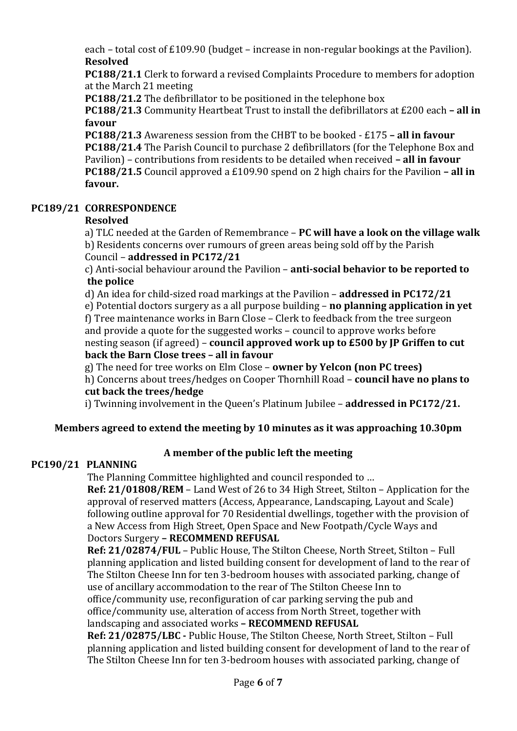each – total cost of  $£109.90$  (budget – increase in non-regular bookings at the Pavilion).  **Resolved**

**PC188/21.1** Clerk to forward a revised Complaints Procedure to members for adoption at the March 21 meeting

**PC188/21.2** The defibrillator to be positioned in the telephone box

**PC188/21.3** Community Heartbeat Trust to install the defibrillators at £200 each – all in  **favour**

**PC188/21.3** Awareness session from the CHBT to be booked - £175 – all in favour **PC188/21.4** The Parish Council to purchase 2 defibrillators (for the Telephone Box and Pavilion) – contributions from residents to be detailed when received – all in favour **PC188/21.5** Council approved a £109.90 spend on 2 high chairs for the Pavilion – all in favour.

## PC189/21 CORRESPONDENCE

# **Resolved**

a) TLC needed at the Garden of Remembrance – **PC will have a look on the village walk** b) Residents concerns over rumours of green areas being sold off by the Parish Council – **addressed** in PC172/21

c) Anti-social behaviour around the Pavilion – **anti-social behavior to be reported to the police** 

d) An idea for child-sized road markings at the Pavilion – **addressed in PC172/21** 

e) Potential doctors surgery as a all purpose building – **no planning application in yet** f) Tree maintenance works in Barn Close – Clerk to feedback from the tree surgeon and provide a quote for the suggested works – council to approve works before nesting season (if agreed) – **council approved work up to £500 by JP Griffen to cut** 

## **back the Barn Close trees – all in favour**

g) The need for tree works on Elm Close – **owner by Yelcon (non PC trees)** 

h) Concerns about trees/hedges on Cooper Thornhill Road – **council have no plans to cut back the trees/hedge**

i) Twinning involvement in the Queen's Platinum Jubilee – **addressed in PC172/21.** 

# **Members agreed to extend the meeting by 10 minutes as it was approaching 10.30pm**

# **A member of the public left the meeting**

# **PC190/21 PLANNING**

The Planning Committee highlighted and council responded to ...

**Ref: 21/01808/REM** – Land West of 26 to 34 High Street, Stilton – Application for the approval of reserved matters (Access, Appearance, Landscaping, Layout and Scale) following outline approval for 70 Residential dwellings, together with the provision of a New Access from High Street, Open Space and New Footpath/Cycle Ways and Doctors Surgery **– RECOMMEND REFUSAL**

**Ref: 21/02874/FUL** – Public House, The Stilton Cheese, North Street, Stilton – Full planning application and listed building consent for development of land to the rear of The Stilton Cheese Inn for ten 3-bedroom houses with associated parking, change of use of ancillary accommodation to the rear of The Stilton Cheese Inn to office/community use, reconfiguration of car parking serving the pub and office/community use, alteration of access from North Street, together with landscaping and associated works - **RECOMMEND REFUSAL** 

**Ref: 21/02875/LBC -** Public House, The Stilton Cheese, North Street, Stilton – Full planning application and listed building consent for development of land to the rear of The Stilton Cheese Inn for ten 3-bedroom houses with associated parking, change of